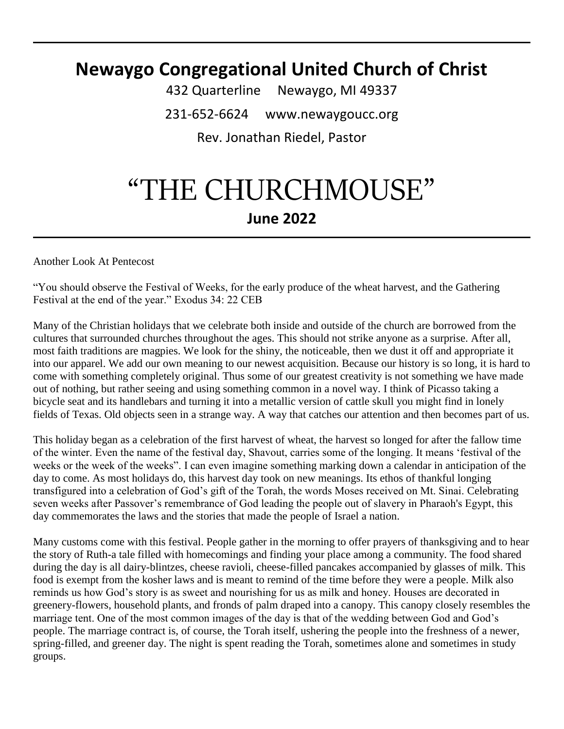# **Newaygo Congregational United Church of Christ**

432 Quarterline Newaygo, MI 49337 231-652-6624 www.newaygoucc.org Rev. Jonathan Riedel, Pastor

# "THE CHURCHMOUSE" **June 2022**

Another Look At Pentecost

"You should observe the Festival of Weeks, for the early produce of the wheat harvest, and the Gathering Festival at the end of the year." Exodus 34: 22 CEB

Many of the Christian holidays that we celebrate both inside and outside of the church are borrowed from the cultures that surrounded churches throughout the ages. This should not strike anyone as a surprise. After all, most faith traditions are magpies. We look for the shiny, the noticeable, then we dust it off and appropriate it into our apparel. We add our own meaning to our newest acquisition. Because our history is so long, it is hard to come with something completely original. Thus some of our greatest creativity is not something we have made out of nothing, but rather seeing and using something common in a novel way. I think of Picasso taking a bicycle seat and its handlebars and turning it into a metallic version of cattle skull you might find in lonely fields of Texas. Old objects seen in a strange way. A way that catches our attention and then becomes part of us.

This holiday began as a celebration of the first harvest of wheat, the harvest so longed for after the fallow time of the winter. Even the name of the festival day, Shavout, carries some of the longing. It means 'festival of the weeks or the week of the weeks". I can even imagine something marking down a calendar in anticipation of the day to come. As most holidays do, this harvest day took on new meanings. Its ethos of thankful longing transfigured into a celebration of God's gift of the Torah, the words Moses received on Mt. Sinai. Celebrating seven weeks after Passover's remembrance of God leading the people out of slavery in Pharaoh's Egypt, this day commemorates the laws and the stories that made the people of Israel a nation.

Many customs come with this festival. People gather in the morning to offer prayers of thanksgiving and to hear the story of Ruth-a tale filled with homecomings and finding your place among a community. The food shared during the day is all dairy-blintzes, cheese ravioli, cheese-filled pancakes accompanied by glasses of milk. This food is exempt from the kosher laws and is meant to remind of the time before they were a people. Milk also reminds us how God's story is as sweet and nourishing for us as milk and honey. Houses are decorated in greenery-flowers, household plants, and fronds of palm draped into a canopy. This canopy closely resembles the marriage tent. One of the most common images of the day is that of the wedding between God and God's people. The marriage contract is, of course, the Torah itself, ushering the people into the freshness of a newer, spring-filled, and greener day. The night is spent reading the Torah, sometimes alone and sometimes in study groups.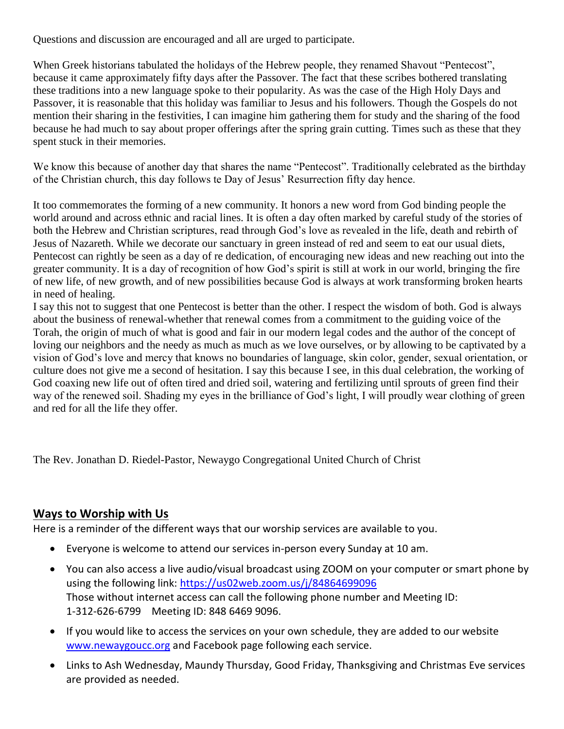Questions and discussion are encouraged and all are urged to participate.

When Greek historians tabulated the holidays of the Hebrew people, they renamed Shavout "Pentecost", because it came approximately fifty days after the Passover. The fact that these scribes bothered translating these traditions into a new language spoke to their popularity. As was the case of the High Holy Days and Passover, it is reasonable that this holiday was familiar to Jesus and his followers. Though the Gospels do not mention their sharing in the festivities, I can imagine him gathering them for study and the sharing of the food because he had much to say about proper offerings after the spring grain cutting. Times such as these that they spent stuck in their memories.

We know this because of another day that shares the name "Pentecost". Traditionally celebrated as the birthday of the Christian church, this day follows te Day of Jesus' Resurrection fifty day hence.

It too commemorates the forming of a new community. It honors a new word from God binding people the world around and across ethnic and racial lines. It is often a day often marked by careful study of the stories of both the Hebrew and Christian scriptures, read through God's love as revealed in the life, death and rebirth of Jesus of Nazareth. While we decorate our sanctuary in green instead of red and seem to eat our usual diets, Pentecost can rightly be seen as a day of re dedication, of encouraging new ideas and new reaching out into the greater community. It is a day of recognition of how God's spirit is still at work in our world, bringing the fire of new life, of new growth, and of new possibilities because God is always at work transforming broken hearts in need of healing.

I say this not to suggest that one Pentecost is better than the other. I respect the wisdom of both. God is always about the business of renewal-whether that renewal comes from a commitment to the guiding voice of the Torah, the origin of much of what is good and fair in our modern legal codes and the author of the concept of loving our neighbors and the needy as much as much as we love ourselves, or by allowing to be captivated by a vision of God's love and mercy that knows no boundaries of language, skin color, gender, sexual orientation, or culture does not give me a second of hesitation. I say this because I see, in this dual celebration, the working of God coaxing new life out of often tired and dried soil, watering and fertilizing until sprouts of green find their way of the renewed soil. Shading my eyes in the brilliance of God's light, I will proudly wear clothing of green and red for all the life they offer.

The Rev. Jonathan D. Riedel-Pastor, Newaygo Congregational United Church of Christ

#### **Ways to Worship with Us**

Here is a reminder of the different ways that our worship services are available to you.

- Everyone is welcome to attend our services in-person every Sunday at 10 am.
- You can also access a live audio/visual broadcast using ZOOM on your computer or smart phone by using the following link:<https://us02web.zoom.us/j/84864699096> Those without internet access can call the following phone number and Meeting ID: 1-312-626-6799 Meeting ID: 848 6469 9096.
- If you would like to access the services on your own schedule, they are added to our website [www.newaygoucc.org](http://www.newaygoucc.org/) and Facebook page following each service.
- Links to Ash Wednesday, Maundy Thursday, Good Friday, Thanksgiving and Christmas Eve services are provided as needed.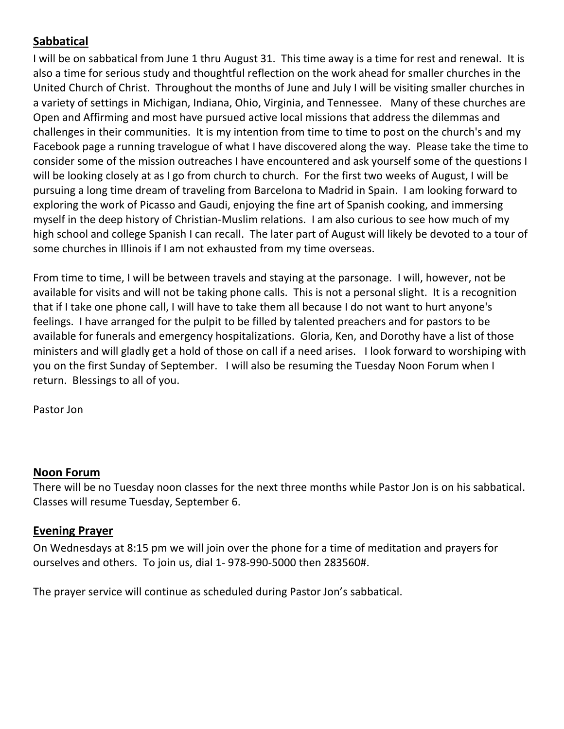# **Sabbatical**

I will be on sabbatical from June 1 thru August 31. This time away is a time for rest and renewal. It is also a time for serious study and thoughtful reflection on the work ahead for smaller churches in the United Church of Christ. Throughout the months of June and July I will be visiting smaller churches in a variety of settings in Michigan, Indiana, Ohio, Virginia, and Tennessee. Many of these churches are Open and Affirming and most have pursued active local missions that address the dilemmas and challenges in their communities. It is my intention from time to time to post on the church's and my Facebook page a running travelogue of what I have discovered along the way. Please take the time to consider some of the mission outreaches I have encountered and ask yourself some of the questions I will be looking closely at as I go from church to church. For the first two weeks of August, I will be pursuing a long time dream of traveling from Barcelona to Madrid in Spain. I am looking forward to exploring the work of Picasso and Gaudi, enjoying the fine art of Spanish cooking, and immersing myself in the deep history of Christian-Muslim relations. I am also curious to see how much of my high school and college Spanish I can recall. The later part of August will likely be devoted to a tour of some churches in Illinois if I am not exhausted from my time overseas.

From time to time, I will be between travels and staying at the parsonage. I will, however, not be available for visits and will not be taking phone calls. This is not a personal slight. It is a recognition that if I take one phone call, I will have to take them all because I do not want to hurt anyone's feelings. I have arranged for the pulpit to be filled by talented preachers and for pastors to be available for funerals and emergency hospitalizations. Gloria, Ken, and Dorothy have a list of those ministers and will gladly get a hold of those on call if a need arises. I look forward to worshiping with you on the first Sunday of September. I will also be resuming the Tuesday Noon Forum when I return. Blessings to all of you.

Pastor Jon

# **Noon Forum**

There will be no Tuesday noon classes for the next three months while Pastor Jon is on his sabbatical. Classes will resume Tuesday, September 6.

# **Evening Prayer**

On Wednesdays at 8:15 pm we will join over the phone for a time of meditation and prayers for ourselves and others. To join us, dial 1- 978-990-5000 then 283560#.

The prayer service will continue as scheduled during Pastor Jon's sabbatical.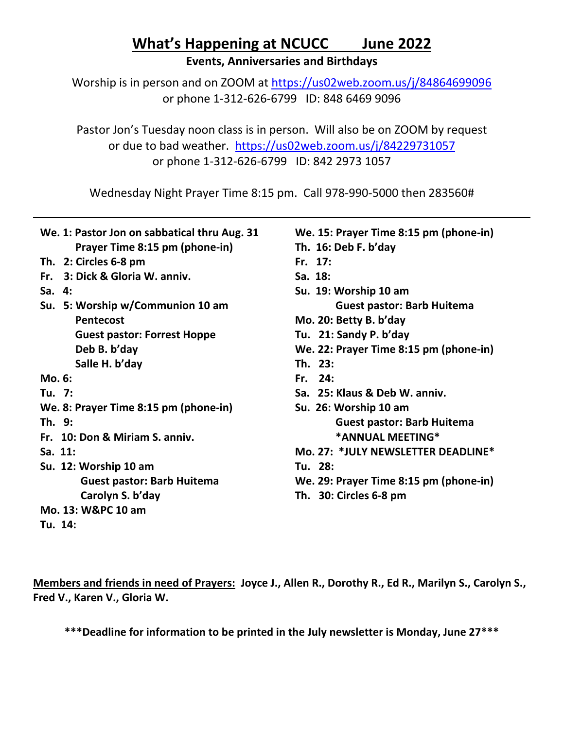# **What's Happening at NCUCC June 2022**

**Events, Anniversaries and Birthdays**

Worship is in person and on ZOOM at<https://us02web.zoom.us/j/84864699096> or phone 1-312-626-6799 ID: 848 6469 9096

Pastor Jon's Tuesday noon class is in person. Will also be on ZOOM by request or due to bad weather. <https://us02web.zoom.us/j/84229731057> or phone 1-312-626-6799 ID: 842 2973 1057

Wednesday Night Prayer Time 8:15 pm. Call 978-990-5000 then 283560#

| We. 1: Pastor Jon on sabbatical thru Aug. 31 | We. 15: Prayer Time 8:15 pm (phone-in) |
|----------------------------------------------|----------------------------------------|
| Prayer Time 8:15 pm (phone-in)               | Th. 16: Deb F. b'day                   |
|                                              |                                        |
| Th. 2: Circles 6-8 pm                        | Fr. 17:                                |
| 3: Dick & Gloria W. anniv.<br>Fr.            | Sa. 18:                                |
| Sa. $4:$                                     | Su. 19: Worship 10 am                  |
| Su. 5: Worship w/Communion 10 am             | <b>Guest pastor: Barb Huitema</b>      |
| <b>Pentecost</b>                             | Mo. 20: Betty B. b'day                 |
| <b>Guest pastor: Forrest Hoppe</b>           | Tu. 21: Sandy P. b'day                 |
| Deb B. b'day                                 | We. 22: Prayer Time 8:15 pm (phone-in) |
| Salle H. b'day                               | Th. 23:                                |
| Mo. 6:                                       | Fr. $24:$                              |
| Tu. 7:                                       | Sa. 25: Klaus & Deb W. anniv.          |
| We. 8: Prayer Time 8:15 pm (phone-in)        | Su. 26: Worship 10 am                  |
| Th. 9:                                       | <b>Guest pastor: Barb Huitema</b>      |
| Fr. 10: Don & Miriam S. anniv.               | *ANNUAL MEETING*                       |
| Sa. 11:                                      | Mo. 27: *JULY NEWSLETTER DEADLINE*     |
| Su. 12: Worship 10 am                        | Tu. 28:                                |
| <b>Guest pastor: Barb Huitema</b>            | We. 29: Prayer Time 8:15 pm (phone-in) |
| Carolyn S. b'day                             | Th. 30: Circles 6-8 pm                 |
| Mo. 13: W&PC 10 am                           |                                        |
| Tu. 14:                                      |                                        |

**Members and friends in need of Prayers: Joyce J., Allen R., Dorothy R., Ed R., Marilyn S., Carolyn S., Fred V., Karen V., Gloria W.**

**\*\*\*Deadline for information to be printed in the July newsletter is Monday, June 27\*\*\***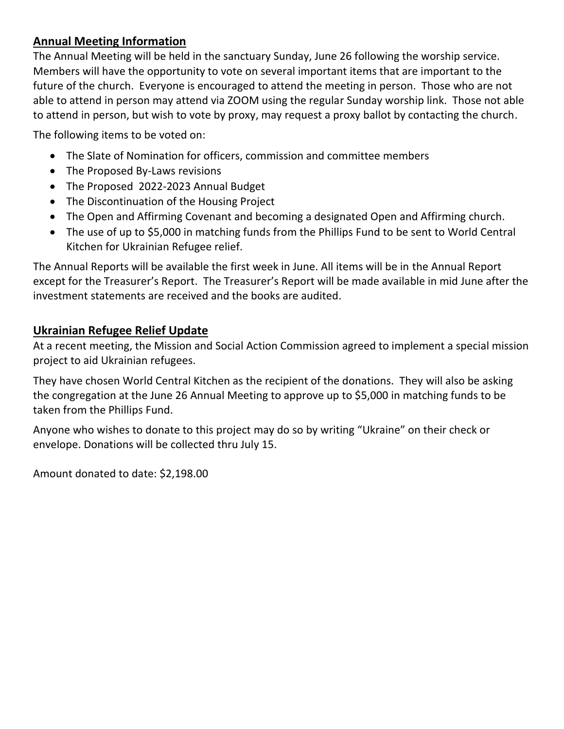# **Annual Meeting Information**

The Annual Meeting will be held in the sanctuary Sunday, June 26 following the worship service. Members will have the opportunity to vote on several important items that are important to the future of the church. Everyone is encouraged to attend the meeting in person. Those who are not able to attend in person may attend via ZOOM using the regular Sunday worship link. Those not able to attend in person, but wish to vote by proxy, may request a proxy ballot by contacting the church.

The following items to be voted on:

- The Slate of Nomination for officers, commission and committee members
- The Proposed By-Laws revisions
- The Proposed 2022-2023 Annual Budget
- The Discontinuation of the Housing Project
- The Open and Affirming Covenant and becoming a designated Open and Affirming church.
- The use of up to \$5,000 in matching funds from the Phillips Fund to be sent to World Central Kitchen for Ukrainian Refugee relief.

The Annual Reports will be available the first week in June. All items will be in the Annual Report except for the Treasurer's Report. The Treasurer's Report will be made available in mid June after the investment statements are received and the books are audited.

### **Ukrainian Refugee Relief Update**

At a recent meeting, the Mission and Social Action Commission agreed to implement a special mission project to aid Ukrainian refugees.

They have chosen World Central Kitchen as the recipient of the donations. They will also be asking the congregation at the June 26 Annual Meeting to approve up to \$5,000 in matching funds to be taken from the Phillips Fund.

Anyone who wishes to donate to this project may do so by writing "Ukraine" on their check or envelope. Donations will be collected thru July 15.

Amount donated to date: \$2,198.00